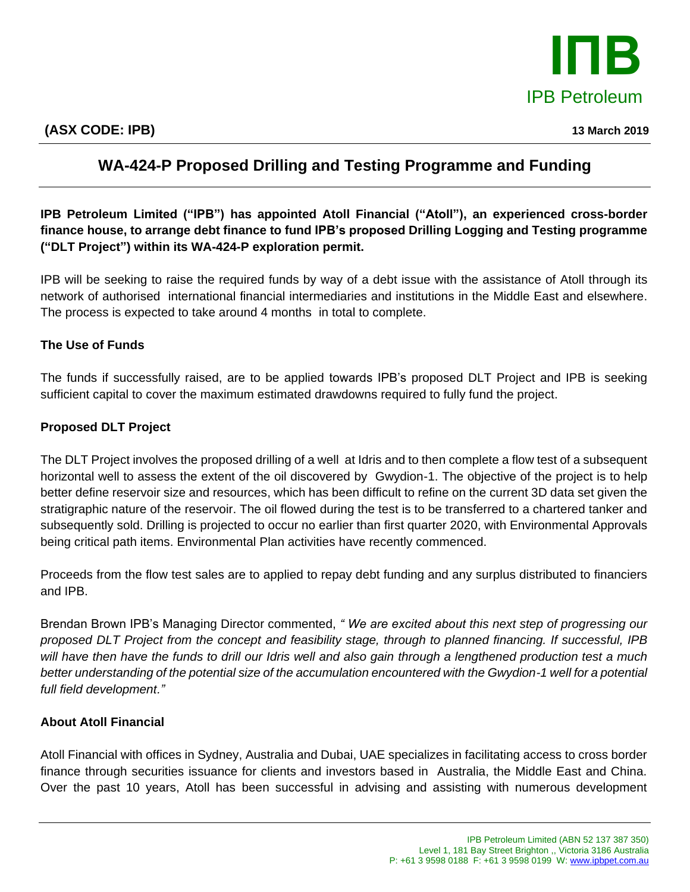

## **WA-424-P Proposed Drilling and Testing Programme and Funding**

**IPB Petroleum Limited ("IPB") has appointed Atoll Financial ("Atoll"), an experienced cross-border finance house, to arrange debt finance to fund IPB's proposed Drilling Logging and Testing programme ("DLT Project") within its WA-424-P exploration permit.** 

IPB will be seeking to raise the required funds by way of a debt issue with the assistance of Atoll through its network of authorised international financial intermediaries and institutions in the Middle East and elsewhere. The process is expected to take around 4 months in total to complete.

## **The Use of Funds**

The funds if successfully raised, are to be applied towards IPB's proposed DLT Project and IPB is seeking sufficient capital to cover the maximum estimated drawdowns required to fully fund the project.

## **Proposed DLT Project**

The DLT Project involves the proposed drilling of a well at Idris and to then complete a flow test of a subsequent horizontal well to assess the extent of the oil discovered by Gwydion-1. The objective of the project is to help better define reservoir size and resources, which has been difficult to refine on the current 3D data set given the stratigraphic nature of the reservoir. The oil flowed during the test is to be transferred to a chartered tanker and subsequently sold. Drilling is projected to occur no earlier than first quarter 2020, with Environmental Approvals being critical path items. Environmental Plan activities have recently commenced.

Proceeds from the flow test sales are to applied to repay debt funding and any surplus distributed to financiers and IPB.

Brendan Brown IPB's Managing Director commented, *" We are excited about this next step of progressing our proposed DLT Project from the concept and feasibility stage, through to planned financing. If successful, IPB will have then have the funds to drill our Idris well and also gain through a lengthened production test a much better understanding of the potential size of the accumulation encountered with the Gwydion-1 well for a potential full field development."*

## **About Atoll Financial**

Atoll Financial with offices in Sydney, Australia and Dubai, UAE specializes in facilitating access to cross border finance through securities issuance for clients and investors based in Australia, the Middle East and China. Over the past 10 years, Atoll has been successful in advising and assisting with numerous development